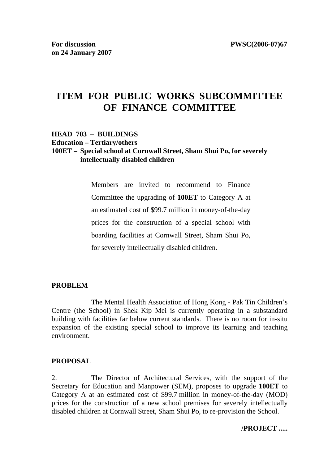# **ITEM FOR PUBLIC WORKS SUBCOMMITTEE OF FINANCE COMMITTEE**

### **HEAD 703 – BUILDINGS Education – Tertiary/others 100ET – Special school at Cornwall Street, Sham Shui Po, for severely intellectually disabled children**

Members are invited to recommend to Finance Committee the upgrading of **100ET** to Category A at an estimated cost of \$99.7 million in money-of-the-day prices for the construction of a special school with boarding facilities at Cornwall Street, Sham Shui Po, for severely intellectually disabled children.

#### **PROBLEM**

 The Mental Health Association of Hong Kong - Pak Tin Children's Centre (the School) in Shek Kip Mei is currently operating in a substandard building with facilities far below current standards. There is no room for in-situ expansion of the existing special school to improve its learning and teaching environment.

#### **PROPOSAL**

2. The Director of Architectural Services, with the support of the Secretary for Education and Manpower (SEM), proposes to upgrade **100ET** to Category A at an estimated cost of \$99.7 million in money-of-the-day (MOD) prices for the construction of a new school premises for severely intellectually disabled children at Cornwall Street, Sham Shui Po, to re-provision the School.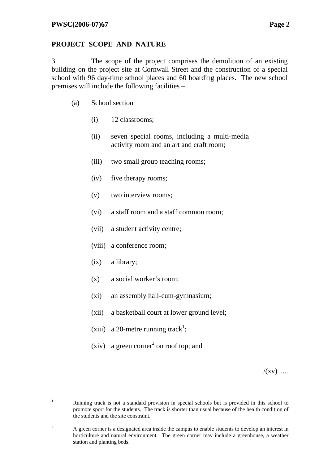### **PROJECT SCOPE AND NATURE**

3. The scope of the project comprises the demolition of an existing building on the project site at Cornwall Street and the construction of a special school with 96 day-time school places and 60 boarding places. The new school premises will include the following facilities –

- (a) School section
	- (i) 12 classrooms;
	- (ii) seven special rooms, including a multi-media activity room and an art and craft room;
	- (iii) two small group teaching rooms;
	- (iv) five therapy rooms;
	- (v) two interview rooms;
	- (vi) a staff room and a staff common room;
	- (vii) a student activity centre;
	- (viii) a conference room;
	- (ix) a library;

1

- (x) a social worker's room;
- (xi) an assembly hall-cum-gymnasium;
- (xii) a basketball court at lower ground level;
- (xiii) a 20-metre running track<sup>1</sup>;
- (xiv) a green corner<sup>2</sup> on roof top; and

 $/(xy)$  .....

Running track is not a standard provision in special schools but is provided in this school to promote sport for the students. The track is shorter than usual because of the health condition of the students and the site constraint.

 $\overline{2}$  A green corner is a designated area inside the campus to enable students to develop an interest in horticulture and natural environment. The green corner may include a greenhouse, a weather station and planting beds.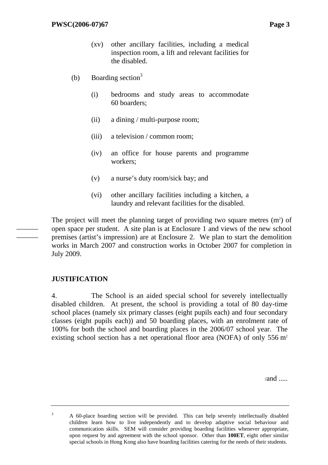- (xv) other ancillary facilities, including a medical inspection room, a lift and relevant facilities for the disabled.
- (b) Boarding section<sup>3</sup>
	- (i) bedrooms and study areas to accommodate 60 boarders;
	- (ii) a dining / multi-purpose room;
	- (iii) a television / common room;
	- (iv) an office for house parents and programme workers;
	- (v) a nurse's duty room/sick bay; and
	- (vi) other ancillary facilities including a kitchen, a laundry and relevant facilities for the disabled.

The project will meet the planning target of providing two square metres  $(m<sup>2</sup>)$  of open space per student. A site plan is at Enclosure 1 and views of the new school premises (artist's impression) are at Enclosure 2. We plan to start the demolition works in March 2007 and construction works in October 2007 for completion in July 2009.

### **JUSTIFICATION**

——— ———

> 4. The School is an aided special school for severely intellectually disabled children. At present, the school is providing a total of 80 day-time school places (namely six primary classes (eight pupils each) and four secondary classes (eight pupils each)) and 50 boarding places, with an enrolment rate of 100% for both the school and boarding places in the 2006/07 school year. The existing school section has a net operational floor area (NOFA) of only  $556 \text{ m}^2$

> > $/and$

3 A 60-place boarding section will be provided. This can help severely intellectually disabled children learn how to live independently and to develop adaptive social behaviour and communication skills. SEM will consider providing boarding facilities whenever appropriate, upon request by and agreement with the school sponsor. Other than **100ET**, eight other similar special schools in Hong Kong also have boarding facilities catering for the needs of their students.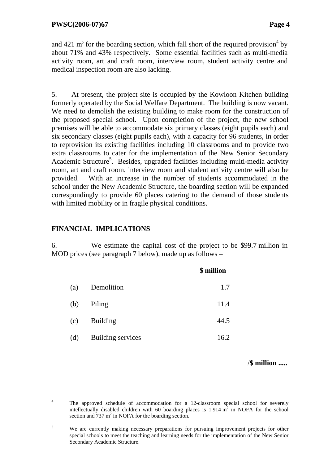and 421 m<sup>2</sup> for the boarding section, which fall short of the required provision<sup>4</sup> by about 71% and 43% respectively. Some essential facilities such as multi-media activity room, art and craft room, interview room, student activity centre and medical inspection room are also lacking.

5. At present, the project site is occupied by the Kowloon Kitchen building formerly operated by the Social Welfare Department. The building is now vacant. We need to demolish the existing building to make room for the construction of the proposed special school. Upon completion of the project, the new school premises will be able to accommodate six primary classes (eight pupils each) and six secondary classes (eight pupils each), with a capacity for 96 students, in order to reprovision its existing facilities including 10 classrooms and to provide two extra classrooms to cater for the implementation of the New Senior Secondary Academic Structure<sup>5</sup>. Besides, upgraded facilities including multi-media activity room, art and craft room, interview room and student activity centre will also be provided. With an increase in the number of students accommodated in the school under the New Academic Structure, the boarding section will be expanded correspondingly to provide 60 places catering to the demand of those students with limited mobility or in fragile physical conditions.

## **FINANCIAL IMPLICATIONS**

6. We estimate the capital cost of the project to be \$99.7 million in MOD prices (see paragraph 7 below), made up as follows –

|     |                          | \$ million |
|-----|--------------------------|------------|
| (a) | Demolition               | 1.7        |
| (b) | Piling                   | 11.4       |
| (c) | <b>Building</b>          | 44.5       |
| (d) | <b>Building services</b> | 16.2       |

/**\$ million .....**

<sup>4</sup> The approved schedule of accommodation for a 12-classroom special school for severely intellectually disabled children with 60 boarding places is  $1\,914 \text{ m}^2$  in NOFA for the school section and  $737 \text{ m}^2$  in NOFA for the boarding section.

<sup>5</sup> We are currently making necessary preparations for pursuing improvement projects for other special schools to meet the teaching and learning needs for the implementation of the New Senior Secondary Academic Structure.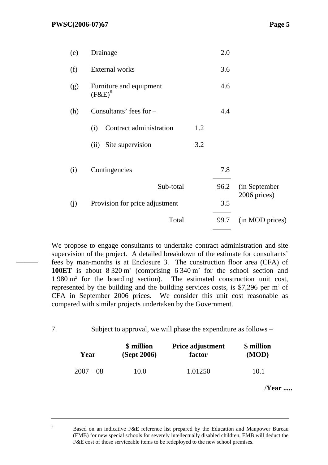———

6

| (e) | Drainage                             |     | 2.0  |                               |
|-----|--------------------------------------|-----|------|-------------------------------|
| (f) | <b>External</b> works                |     | 3.6  |                               |
| (g) | Furniture and equipment<br>$(F&E)^6$ |     | 4.6  |                               |
| (h) | Consultants' fees for $-$            |     | 4.4  |                               |
|     | Contract administration<br>(i)       | 1.2 |      |                               |
|     | Site supervision<br>(ii)             | 3.2 |      |                               |
| (i) | Contingencies                        |     | 7.8  |                               |
|     | Sub-total                            |     | 96.2 | (in September<br>2006 prices) |
| (j) | Provision for price adjustment       |     | 3.5  |                               |
|     | Total                                |     | 99.7 | (in MOD prices)               |
|     |                                      |     |      |                               |

We propose to engage consultants to undertake contract administration and site supervision of the project. A detailed breakdown of the estimate for consultants' fees by man-months is at Enclosure 3. The construction floor area (CFA) of **100ET** is about  $8320 \text{ m}^2$  (comprising  $6340 \text{ m}^2$  for the school section and  $1\,980\,\mathrm{m}^2$  for the boarding section). The estimated construction unit cost, represented by the building and the building services costs, is \$7,296 per  $m<sup>2</sup>$  of CFA in September 2006 prices. We consider this unit cost reasonable as compared with similar projects undertaken by the Government.

<sup>7.</sup> Subject to approval, we will phase the expenditure as follows –

| Year        | \$ million  | <b>Price adjustment</b> | \$ million |
|-------------|-------------|-------------------------|------------|
|             | (Sept 2006) | factor                  | (MOD)      |
| $2007 - 08$ | 10.0        | 1.01250                 | 10.1       |

/**Year .....**

Based on an indicative F&E reference list prepared by the Education and Manpower Bureau (EMB) for new special schools for severely intellectually disabled children, EMB will deduct the F&E cost of those serviceable items to be redeployed to the new school premises.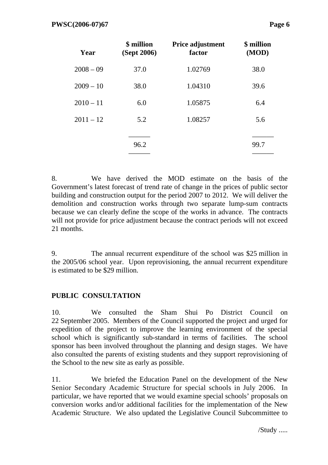| Year        | \$ million<br>(Sept 2006) | Price adjustment<br>factor | \$ million<br>(MOD) |
|-------------|---------------------------|----------------------------|---------------------|
| $2008 - 09$ | 37.0                      | 1.02769                    | 38.0                |
| $2009 - 10$ | 38.0                      | 1.04310                    | 39.6                |
| $2010 - 11$ | 6.0                       | 1.05875                    | 6.4                 |
| $2011 - 12$ | 5.2                       | 1.08257                    | 5.6                 |
|             |                           |                            |                     |
|             | 96.2                      |                            | 99.7                |

8. We have derived the MOD estimate on the basis of the Government's latest forecast of trend rate of change in the prices of public sector building and construction output for the period 2007 to 2012. We will deliver the demolition and construction works through two separate lump-sum contracts because we can clearly define the scope of the works in advance. The contracts will not provide for price adjustment because the contract periods will not exceed 21 months.

9. The annual recurrent expenditure of the school was \$25 million in the 2005/06 school year. Upon reprovisioning, the annual recurrent expenditure is estimated to be \$29 million.

### **PUBLIC CONSULTATION**

10. We consulted the Sham Shui Po District Council on 22 September 2005. Members of the Council supported the project and urged for expedition of the project to improve the learning environment of the special school which is significantly sub-standard in terms of facilities. The school sponsor has been involved throughout the planning and design stages. We have also consulted the parents of existing students and they support reprovisioning of the School to the new site as early as possible.

11. We briefed the Education Panel on the development of the New Senior Secondary Academic Structure for special schools in July 2006. In particular, we have reported that we would examine special schools' proposals on conversion works and/or additional facilities for the implementation of the New Academic Structure. We also updated the Legislative Council Subcommittee to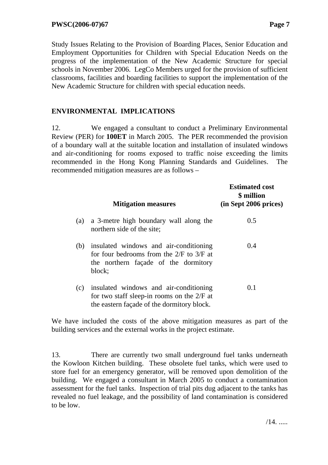Study Issues Relating to the Provision of Boarding Places, Senior Education and Employment Opportunities for Children with Special Education Needs on the progress of the implementation of the New Academic Structure for special schools in November 2006. LegCo Members urged for the provision of sufficient classrooms, facilities and boarding facilities to support the implementation of the New Academic Structure for children with special education needs.

### **ENVIRONMENTAL IMPLICATIONS**

12. We engaged a consultant to conduct a Preliminary Environmental Review (PER) for **100ET** in March 2005. The PER recommended the provision of a boundary wall at the suitable location and installation of insulated windows and air-conditioning for rooms exposed to traffic noise exceeding the limits recommended in the Hong Kong Planning Standards and Guidelines. The recommended mitigation measures are as follows –

|     | <b>Mitigation measures</b>                                                                                                               | <b>Estimated cost</b><br>\$ million<br>$(in$ Sept 2006 prices) |
|-----|------------------------------------------------------------------------------------------------------------------------------------------|----------------------------------------------------------------|
| (a) | a 3-metre high boundary wall along the<br>northern side of the site;                                                                     | 0.5                                                            |
| (b) | insulated windows and air-conditioning<br>for four bedrooms from the $2/F$ to $3/F$ at<br>the northern façade of the dormitory<br>block; | (0.4)                                                          |
| (c) | insulated windows and air-conditioning<br>for two staff sleep-in rooms on the $2/F$ at<br>the eastern façade of the dormitory block.     | 0.1                                                            |

We have included the costs of the above mitigation measures as part of the building services and the external works in the project estimate.

13. There are currently two small underground fuel tanks underneath the Kowloon Kitchen building. These obsolete fuel tanks, which were used to store fuel for an emergency generator, will be removed upon demolition of the building. We engaged a consultant in March 2005 to conduct a contamination assessment for the fuel tanks. Inspection of trial pits dug adjacent to the tanks has revealed no fuel leakage, and the possibility of land contamination is considered to be low.

 $/14.$  .....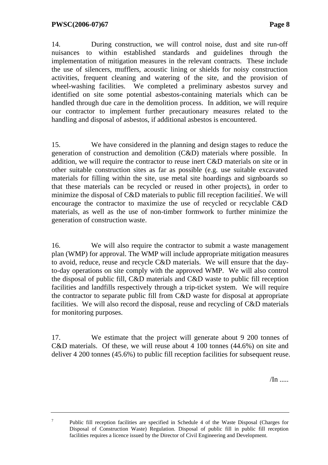7

14. During construction, we will control noise, dust and site run-off nuisances to within established standards and guidelines through the implementation of mitigation measures in the relevant contracts. These include the use of silencers, mufflers, acoustic lining or shields for noisy construction activities, frequent cleaning and watering of the site, and the provision of wheel-washing facilities. We completed a preliminary asbestos survey and identified on site some potential asbestos-containing materials which can be handled through due care in the demolition process. In addition, we will require our contractor to implement further precautionary measures related to the handling and disposal of asbestos, if additional asbestos is encountered.

15. We have considered in the planning and design stages to reduce the generation of construction and demolition (C&D) materials where possible. In addition, we will require the contractor to reuse inert C&D materials on site or in other suitable construction sites as far as possible (e.g. use suitable excavated materials for filling within the site, use metal site hoardings and signboards so that these materials can be recycled or reused in other projects), in order to minimize the disposal of  $C&D$  materials to public fill reception facilities. We will encourage the contractor to maximize the use of recycled or recyclable C&D materials, as well as the use of non-timber formwork to further minimize the generation of construction waste.

16. We will also require the contractor to submit a waste management plan (WMP) for approval. The WMP will include appropriate mitigation measures to avoid, reduce, reuse and recycle C&D materials. We will ensure that the dayto-day operations on site comply with the approved WMP. We will also control the disposal of public fill, C&D materials and C&D waste to public fill reception facilities and landfills respectively through a trip-ticket system. We will require the contractor to separate public fill from C&D waste for disposal at appropriate facilities. We will also record the disposal, reuse and recycling of C&D materials for monitoring purposes.

17. We estimate that the project will generate about 9 200 tonnes of C&D materials. Of these, we will reuse about 4 100 tonnes (44.6%) on site and deliver 4 200 tonnes (45.6%) to public fill reception facilities for subsequent reuse.

 $/$ In .....

 Public fill reception facilities are specified in Schedule 4 of the Waste Disposal (Charges for Disposal of Construction Waste) Regulation. Disposal of public fill in public fill reception facilities requires a licence issued by the Director of Civil Engineering and Development.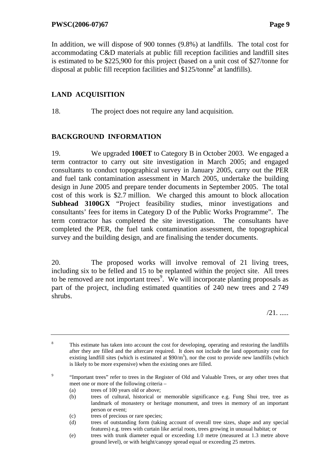In addition, we will dispose of 900 tonnes (9.8%) at landfills. The total cost for

accommodating C&D materials at public fill reception facilities and landfill sites is estimated to be \$225,900 for this project (based on a unit cost of \$27/tonne for disposal at public fill reception facilities and  $$125/tonne<sup>8</sup>$  at landfills).

# **LAND ACQUISITION**

18. The project does not require any land acquisition.

# **BACKGROUND INFORMATION**

19. We upgraded **100ET** to Category B in October 2003. We engaged a term contractor to carry out site investigation in March 2005; and engaged consultants to conduct topographical survey in January 2005, carry out the PER and fuel tank contamination assessment in March 2005, undertake the building design in June 2005 and prepare tender documents in September 2005. The total cost of this work is \$2.7 million. We charged this amount to block allocation **Subhead 3100GX** "Project feasibility studies, minor investigations and consultants' fees for items in Category D of the Public Works Programme". The term contractor has completed the site investigation. The consultants have completed the PER, the fuel tank contamination assessment, the topographical survey and the building design, and are finalising the tender documents.

20. The proposed works will involve removal of 21 living trees, including six to be felled and 15 to be replanted within the project site. All trees to be removed are not important trees<sup>9</sup>. We will incorporate planting proposals as part of the project, including estimated quantities of 240 new trees and 2 749 shrubs.

/21. .....

- (a) trees of 100 years old or above;
- (b) trees of cultural, historical or memorable significance e.g. Fung Shui tree, tree as landmark of monastery or heritage monument, and trees in memory of an important person or event;
- (c) trees of precious or rare species;
- (d) trees of outstanding form (taking account of overall tree sizes, shape and any special features) e.g. trees with curtain like aerial roots, trees growing in unusual habitat; or
- (e) trees with trunk diameter equal or exceeding 1.0 metre (measured at 1.3 metre above ground level), or with height/canopy spread equal or exceeding 25 metres.

<sup>8</sup> This estimate has taken into account the cost for developing, operating and restoring the landfills after they are filled and the aftercare required. It does not include the land opportunity cost for existing landfill sites (which is estimated at  $$90/m<sup>3</sup>$ ), nor the cost to provide new landfills (which is likely to be more expensive) when the existing ones are filled.

 $\overline{9}$  "Important trees" refer to trees in the Register of Old and Valuable Trees, or any other trees that meet one or more of the following criteria –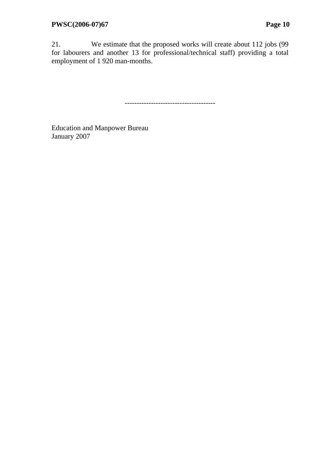21. We estimate that the proposed works will create about 112 jobs (99 for labourers and another 13 for professional/technical staff) providing a total employment of 1 920 man-months.

--------------------------------------

Education and Manpower Bureau January 2007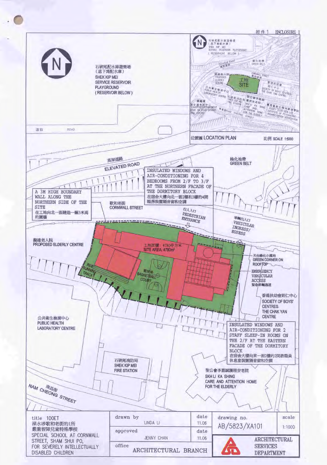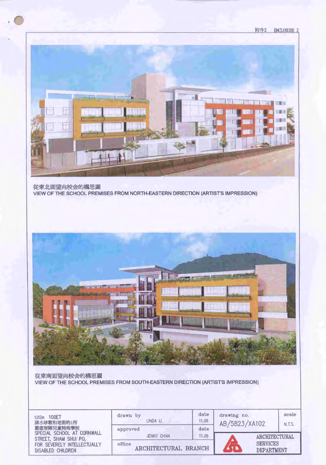

從東北面望向校舍的構思圖 VIEW OF THE SCHOOL PREMISES FROM NORTH-EASTERN DIRECTION (ARTIST'S IMPRESSION)



從東南面望向校舍的構思圖 VIEW OF THE SCHOOL PREMISES FROM SOUTH-EASTERN DIRECTION (ARTIST'S IMPRESSION)

| 100ET<br>title<br>深水埗歌和老街的1所<br>爵重智障兒童特殊學校              | drawn<br>by<br>LINDA LI<br>approved | date<br>11.06<br>date | drawing no.<br>AB/5823/XA102         | scale<br>N.T.S. |  |
|---------------------------------------------------------|-------------------------------------|-----------------------|--------------------------------------|-----------------|--|
| SPECIAL SCHOOL AT CORNWALL<br>STREET, SHAM SHUI PO.     | JENNY CHAN                          | 11.06                 |                                      | ARCHITECTURAL   |  |
| FOR SEVERELY INTELLECTUALLY<br><b>DISABLED CHILDREN</b> | office<br>ARCHITECTURAL BRANCH      |                       | <b>SERVICES</b><br><b>DEPARTMENT</b> |                 |  |